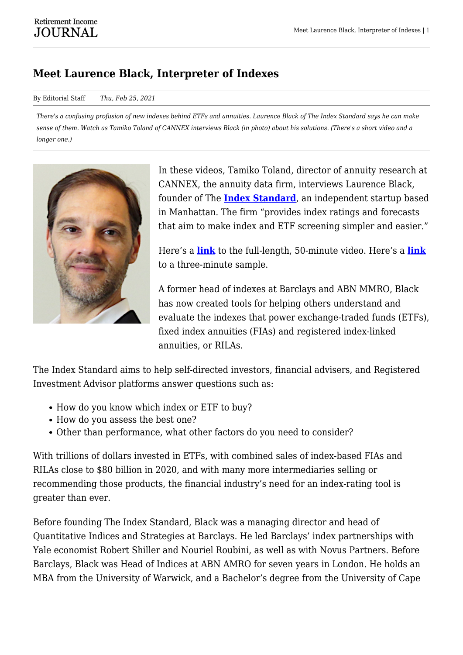## **Meet Laurence Black, Interpreter of Indexes**

## By Editorial Staff *Thu, Feb 25, 2021*

*There's a confusing profusion of new indexes behind ETFs and annuities. Laurence Black of The Index Standard says he can make sense of them. Watch as Tamiko Toland of CANNEX interviews Black (in photo) about his solutions. (There's a short video and a longer one.)*



In these videos, Tamiko Toland, director of annuity research at CANNEX, the annuity data firm, interviews Laurence Black, founder of The **[Index Standard](https://www.theindexstandard.com/)**, an independent startup based in Manhattan. The firm "provides index ratings and forecasts that aim to make index and ETF screening simpler and easier."

Here's a **[link](https://www.youtube.com/watch?v=Fan88xD6lP0)** to the full-length, 50-minute video. Here's a **[link](https://www.youtube.com/watch?v=WxvU9Lm6374)** to a three-minute sample.

A former head of indexes at Barclays and ABN MMRO, Black has now created tools for helping others understand and evaluate the indexes that power exchange-traded funds (ETFs), fixed index annuities (FIAs) and registered index-linked annuities, or RILAs.

The Index Standard aims to help self-directed investors, financial advisers, and Registered Investment Advisor platforms answer questions such as:

- How do you know which index or ETF to buy?
- How do you assess the best one?
- Other than performance, what other factors do you need to consider?

With trillions of dollars invested in ETFs, with combined sales of index-based FIAs and RILAs close to \$80 billion in 2020, and with many more intermediaries selling or recommending those products, the financial industry's need for an index-rating tool is greater than ever.

Before founding The Index Standard, Black was a managing director and head of Quantitative Indices and Strategies at Barclays. He led Barclays' index partnerships with Yale economist Robert Shiller and Nouriel Roubini, as well as with Novus Partners. Before Barclays, Black was Head of Indices at ABN AMRO for seven years in London. He holds an MBA from the University of Warwick, and a Bachelor's degree from the University of Cape